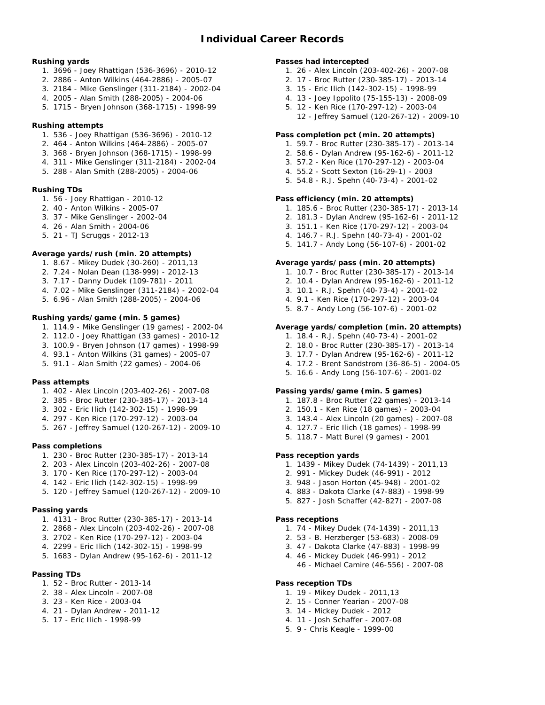## **Rushing yards**

- 1. 3696 Joey Rhattigan (536-3696) 2010-12
- 2. 2886 Anton Wilkins (464-2886) 2005-07
- 3. 2184 Mike Genslinger (311-2184) 2002-04
- 4. 2005 Alan Smith (288-2005) 2004-06
- 5. 1715 Bryen Johnson (368-1715) 1998-99
- **Rushing attempts**
	- 1. 536 Joey Rhattigan (536-3696) 2010-12
	- 2. 464 Anton Wilkins (464-2886) 2005-07
	- 3. 368 Bryen Johnson (368-1715) 1998-99
	- 4. 311 Mike Genslinger (311-2184) 2002-04
	- 5. 288 Alan Smith (288-2005) 2004-06

## **Rushing TDs**

- 1. 56 Joey Rhattigan 2010-12
- 2. 40 Anton Wilkins 2005-07
- 3. 37 Mike Genslinger 2002-04
- 4. 26 Alan Smith 2004-06
- 5. 21 TJ Scruggs 2012-13

# **Average yards/rush (min. 20 attempts)**

- 1. 8.67 Mikey Dudek (30-260) 2011,13
- 2. 7.24 Nolan Dean (138-999) 2012-13
- 3. 7.17 Danny Dudek (109-781) 2011
- 4. 7.02 Mike Genslinger (311-2184) 2002-04
- 5. 6.96 Alan Smith (288-2005) 2004-06

# **Rushing yards/game (min. 5 games)**

- 1. 114.9 Mike Genslinger (19 games) 2002-04
- 2. 112.0 Joey Rhattigan (33 games) 2010-12
- 3. 100.9 Bryen Johnson (17 games) 1998-99
- 4. 93.1 Anton Wilkins (31 games) 2005-07
- 5. 91.1 Alan Smith (22 games) 2004-06

#### **Pass attempts**

- 1. 402 Alex Lincoln (203-402-26) 2007-08
- 2. 385 Broc Rutter (230-385-17) 2013-14
- 3. 302 Eric Ilich (142-302-15) 1998-99
- 4. 297 Ken Rice (170-297-12) 2003-04
- 5. 267 Jeffrey Samuel (120-267-12) 2009-10

**Pass completions**

- 1. 230 Broc Rutter (230-385-17) 2013-14
- 2. 203 Alex Lincoln (203-402-26) 2007-08
- 3. 170 Ken Rice (170-297-12) 2003-04
- 4. 142 Eric Ilich (142-302-15) 1998-99
- 5. 120 Jeffrey Samuel (120-267-12) 2009-10

#### **Passing yards**

- 1. 4131 Broc Rutter (230-385-17) 2013-14
- 2. 2868 Alex Lincoln (203-402-26) 2007-08
- 3. 2702 Ken Rice (170-297-12) 2003-04
- 4. 2299 Eric Ilich (142-302-15) 1998-99
- 5. 1683 Dylan Andrew (95-162-6) 2011-12
- **Passing TDs**
	- 1. 52 Broc Rutter 2013-14
	- 2. 38 Alex Lincoln 2007-08
	- 3. 23 Ken Rice 2003-04
	- 4. 21 Dylan Andrew 2011-12
	- 5. 17 Eric Ilich 1998-99

## **Passes had intercepted**

- 1. 26 Alex Lincoln (203-402-26) 2007-08
- 2. 17 Broc Rutter (230-385-17) 2013-14
- 3. 15 Eric Ilich (142-302-15) 1998-99
- 4. 13 Joey Ippolito (75-155-13) 2008-09
- 5. 12 Ken Rice (170-297-12) 2003-04
	- 12 Jeffrey Samuel (120-267-12) 2009-10

## **Pass completion pct (min. 20 attempts)**

- 1. 59.7 Broc Rutter (230-385-17) 2013-14
- 2. 58.6 Dylan Andrew (95-162-6) 2011-12
- 3. 57.2 Ken Rice (170-297-12) 2003-04
- 4. 55.2 Scott Sexton (16-29-1) 2003
- 5. 54.8 R.J. Spehn (40-73-4) 2001-02

#### **Pass efficiency (min. 20 attempts)**

- 1. 185.6 Broc Rutter (230-385-17) 2013-14
- 2. 181.3 Dylan Andrew (95-162-6) 2011-12
- 3. 151.1 Ken Rice (170-297-12) 2003-04
- 4. 146.7 R.J. Spehn (40-73-4) 2001-02
- 5. 141.7 Andy Long (56-107-6) 2001-02

**Average yards/pass (min. 20 attempts)**

- 1. 10.7 Broc Rutter (230-385-17) 2013-14
- 2. 10.4 Dylan Andrew (95-162-6) 2011-12
- 3. 10.1 R.J. Spehn (40-73-4) 2001-02
- 4. 9.1 Ken Rice (170-297-12) 2003-04
- 5. 8.7 Andy Long (56-107-6) 2001-02

## **Average yards/completion (min. 20 attempts)**

- 1. 18.4 R.J. Spehn (40-73-4) 2001-02
- 2. 18.0 Broc Rutter (230-385-17) 2013-14
- 3. 17.7 Dylan Andrew (95-162-6) 2011-12
- 4. 17.2 Brent Sandstrom (36-86-5) 2004-05
- 5. 16.6 Andy Long (56-107-6) 2001-02

**Passing yards/game (min. 5 games)**

- 1. 187.8 Broc Rutter (22 games) 2013-14
- 2. 150.1 Ken Rice (18 games) 2003-04
- 3. 143.4 Alex Lincoln (20 games) 2007-08
- 4. 127.7 Eric Ilich (18 games) 1998-99
- 5. 118.7 Matt Burel (9 games) 2001
- **Pass reception yards**
	- 1. 1439 Mikey Dudek (74-1439) 2011,13
	- 2. 991 Mickey Dudek (46-991) 2012
	- 3. 948 Jason Horton (45-948) 2001-02
	- 4. 883 Dakota Clarke (47-883) 1998-99
	- 5. 827 Josh Schaffer (42-827) 2007-08
	- **Pass receptions**

**Pass reception TDs**

1. 74 - Mikey Dudek (74-1439) - 2011,13 2. 53 - B. Herzberger (53-683) - 2008-09

3. 47 - Dakota Clarke (47-883) - 1998-99 4. 46 - Mickey Dudek (46-991) - 2012

1. 19 - Mikey Dudek - 2011,13 2. 15 - Conner Yearian - 2007-08 3. 14 - Mickey Dudek - 2012 4. 11 - Josh Schaffer - 2007-08 5. 9 - Chris Keagle - 1999-00

46 - Michael Camire (46-556) - 2007-08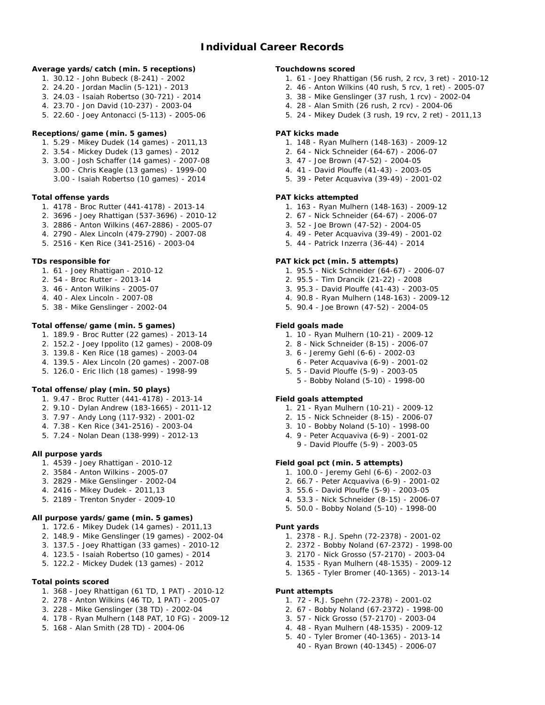**Average yards/catch (min. 5 receptions)**

- 1. 30.12 John Bubeck (8-241) 2002
- 2. 24.20 Jordan Maclin (5-121) 2013
- 3. 24.03 Isaiah Robertso (30-721) 2014
- 4. 23.70 Jon David (10-237) 2003-04
- 5. 22.60 Joey Antonacci (5-113) 2005-06

**Receptions/game (min. 5 games)**

- 1. 5.29 Mikey Dudek (14 games) 2011,13
- 2. 3.54 Mickey Dudek (13 games) 2012
- 3. 3.00 Josh Schaffer (14 games) 2007-08 3.00 - Chris Keagle (13 games) - 1999-00 3.00 - Isaiah Robertso (10 games) - 2014

**Total offense yards**

- 1. 4178 Broc Rutter (441-4178) 2013-14
- 2. 3696 Joey Rhattigan (537-3696) 2010-12
- 3. 2886 Anton Wilkins (467-2886) 2005-07
- 4. 2790 Alex Lincoln (479-2790) 2007-08
- 5. 2516 Ken Rice (341-2516) 2003-04

**TDs responsible for**

- 1. 61 Joey Rhattigan 2010-12
- 2. 54 Broc Rutter 2013-14
- 3. 46 Anton Wilkins 2005-07
- 4. 40 Alex Lincoln 2007-08
- 5. 38 Mike Genslinger 2002-04

## **Total offense/game (min. 5 games)**

- 1. 189.9 Broc Rutter (22 games) 2013-14
- 2. 152.2 Joey Ippolito (12 games) 2008-09
- 3. 139.8 Ken Rice (18 games) 2003-04
- 4. 139.5 Alex Lincoln (20 games) 2007-08
- 5. 126.0 Eric Ilich (18 games) 1998-99

**Total offense/play (min. 50 plays)**

- 1. 9.47 Broc Rutter (441-4178) 2013-14
- 2. 9.10 Dylan Andrew (183-1665) 2011-12
- 3. 7.97 Andy Long (117-932) 2001-02
- 4. 7.38 Ken Rice (341-2516) 2003-04
- 5. 7.24 Nolan Dean (138-999) 2012-13
- **All purpose yards**
	- 1. 4539 Joey Rhattigan 2010-12
	- 2. 3584 Anton Wilkins 2005-07
	- 3. 2829 Mike Genslinger 2002-04
	- 4. 2416 Mikey Dudek 2011,13
	- 5. 2189 Trenton Snyder 2009-10

**All purpose yards/game (min. 5 games)**

- 1. 172.6 Mikey Dudek (14 games) 2011,13
- 2. 148.9 Mike Genslinger (19 games) 2002-04
- 3. 137.5 Joey Rhattigan (33 games) 2010-12
- 4. 123.5 Isaiah Robertso (10 games) 2014
- 5. 122.2 Mickey Dudek (13 games) 2012
- **Total points scored**
	- 1. 368 Joey Rhattigan (61 TD, 1 PAT) 2010-12
	- 2. 278 Anton Wilkins (46 TD, 1 PAT) 2005-07
	- 3. 228 Mike Genslinger (38 TD) 2002-04
	- 4. 178 Ryan Mulhern (148 PAT, 10 FG) 2009-12
	- 5. 168 Alan Smith (28 TD) 2004-06

**Touchdowns scored**

- 1. 61 Joey Rhattigan (56 rush, 2 rcv, 3 ret) 2010-12
- 2. 46 Anton Wilkins (40 rush, 5 rcv, 1 ret) 2005-07
- 3. 38 Mike Genslinger (37 rush, 1 rcv) 2002-04
- 4. 28 Alan Smith (26 rush, 2 rcv) 2004-06
- 5. 24 Mikey Dudek (3 rush, 19 rcv, 2 ret) 2011,13

# **PAT kicks made**

- 1. 148 Ryan Mulhern (148-163) 2009-12
- 2. 64 Nick Schneider (64-67) 2006-07
	- 3. 47 Joe Brown (47-52) 2004-05
- 4. 41 David Plouffe (41-43) 2003-05
- 5. 39 Peter Acquaviva (39-49) 2001-02

# **PAT kicks attempted**

- 1. 163 Ryan Mulhern (148-163) 2009-12
- 2. 67 Nick Schneider (64-67) 2006-07
- 3. 52 Joe Brown (47-52) 2004-05
- 4. 49 Peter Acquaviva (39-49) 2001-02
- 5. 44 Patrick Inzerra (36-44) 2014

## **PAT kick pct (min. 5 attempts)**

- 1. 95.5 Nick Schneider (64-67) 2006-07
- 2. 95.5 Tim Drancik (21-22) 2008
- 3. 95.3 David Plouffe (41-43) 2003-05
- 4. 90.8 Ryan Mulhern (148-163) 2009-12
- 5. 90.4 Joe Brown (47-52) 2004-05
- **Field goals made**
	- 1. 10 Ryan Mulhern (10-21) 2009-12
	- 2. 8 Nick Schneider (8-15) 2006-07
	- 3. 6 Jeremy Gehl (6-6) 2002-03
	- 6 Peter Acquaviva (6-9) 2001-02 5. 5 - David Plouffe (5-9) - 2003-05
		- 5 Bobby Noland (5-10) 1998-00

## **Field goals attempted**

- 1. 21 Ryan Mulhern (10-21) 2009-12
- 2. 15 Nick Schneider (8-15) 2006-07
- 3. 10 Bobby Noland (5-10) 1998-00
- 4. 9 Peter Acquaviva (6-9) 2001-02
- 9 David Plouffe (5-9) 2003-05

**Field goal pct (min. 5 attempts)**

- 1. 100.0 Jeremy Gehl (6-6) 2002-03
- 2. 66.7 Peter Acquaviva (6-9) 2001-02
- 3. 55.6 David Plouffe (5-9) 2003-05
- 4. 53.3 Nick Schneider (8-15) 2006-07
- 5. 50.0 Bobby Noland (5-10) 1998-00
- **Punt yards**

**Punt attempts**

1. 2378 - R.J. Spehn (72-2378) - 2001-02

1. 72 - R.J. Spehn (72-2378) - 2001-02 2. 67 - Bobby Noland (67-2372) - 1998-00 3. 57 - Nick Grosso (57-2170) - 2003-04 4. 48 - Ryan Mulhern (48-1535) - 2009-12 5. 40 - Tyler Bromer (40-1365) - 2013-14 40 - Ryan Brown (40-1345) - 2006-07

- 2. 2372 Bobby Noland (67-2372) 1998-00
- 3. 2170 Nick Grosso (57-2170) 2003-04
- 4. 1535 Ryan Mulhern (48-1535) 2009-12 5. 1365 - Tyler Bromer (40-1365) - 2013-14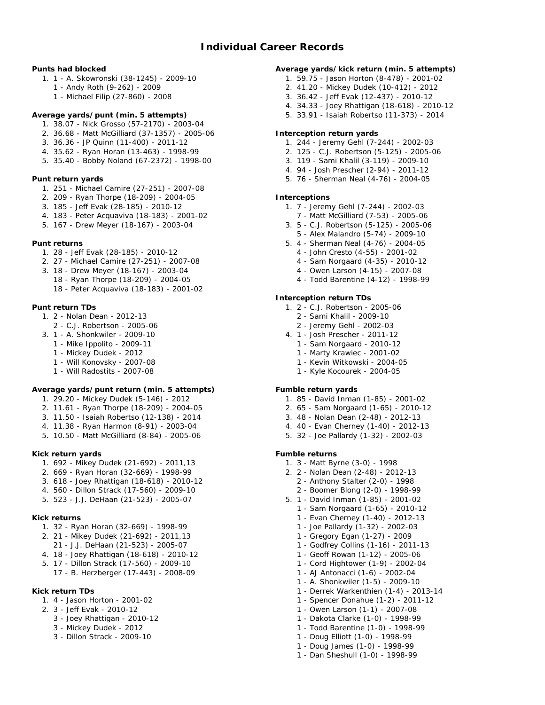# **Individual Career Records**

**Punts had blocked**

- 1. 1 A. Skowronski (38-1245) 2009-10
	- 1 Andy Roth (9-262) 2009
	- 1 Michael Filip (27-860) 2008
- **Average yards/punt (min. 5 attempts)**
	- 1. 38.07 Nick Grosso (57-2170) 2003-04
	- 2. 36.68 Matt McGilliard (37-1357) 2005-06
	- 3. 36.36 JP Quinn (11-400) 2011-12 4. 35.62 - Ryan Horan (13-463) - 1998-99
	- 5. 35.40 Bobby Noland (67-2372) 1998-00
	-

## **Punt return yards**

- 1. 251 Michael Camire (27-251) 2007-08
- 2. 209 Ryan Thorpe (18-209) 2004-05
- 3. 185 Jeff Evak (28-185) 2010-12
- 4. 183 Peter Acquaviva (18-183) 2001-02
- 5. 167 Drew Meyer (18-167) 2003-04
- **Punt returns**
	- 1. 28 Jeff Evak (28-185) 2010-12
	- 2. 27 Michael Camire (27-251) 2007-08
	- 3. 18 Drew Meyer (18-167) 2003-04
		- 18 Ryan Thorpe (18-209) 2004-05
		- 18 Peter Acquaviva (18-183) 2001-02

## **Punt return TDs**

- 1. 2 Nolan Dean 2012-13
- 2 C.J. Robertson 2005-06
- 3. 1 A. Shonkwiler 2009-10
	- 1 Mike Ippolito 2009-11
	- 1 Mickey Dudek 2012
	- 1 Will Konovsky 2007-08
	- 1 Will Radostits 2007-08

## **Average yards/punt return (min. 5 attempts)**

- 1. 29.20 Mickey Dudek (5-146) 2012
- 2. 11.61 Ryan Thorpe (18-209) 2004-05
- 3. 11.50 Isaiah Robertso (12-138) 2014
- 4. 11.38 Ryan Harmon (8-91) 2003-04
- 5. 10.50 Matt McGilliard (8-84) 2005-06

## **Kick return yards**

- 1. 692 Mikey Dudek (21-692) 2011,13
- 2. 669 Ryan Horan (32-669) 1998-99
- 3. 618 Joey Rhattigan (18-618) 2010-12
- 4. 560 Dillon Strack (17-560) 2009-10
- 5. 523 J.J. DeHaan (21-523) 2005-07
- **Kick returns**
	- 1. 32 Ryan Horan (32-669) 1998-99
	- 2. 21 Mikey Dudek (21-692) 2011,13
	- 21 J.J. DeHaan (21-523) 2005-07
	- 4. 18 Joey Rhattigan (18-618) 2010-12
	- 5. 17 Dillon Strack (17-560) 2009-10
		- 17 B. Herzberger (17-443) 2008-09
- **Kick return TDs**
	- 1. 4 Jason Horton 2001-02
	- 2. 3 Jeff Evak 2010-12
		- 3 Joey Rhattigan 2010-12
		- 3 Mickey Dudek 2012
		- 3 Dillon Strack 2009-10

**Average yards/kick return (min. 5 attempts)**

- 1. 59.75 Jason Horton (8-478) 2001-02
- 2. 41.20 Mickey Dudek (10-412) 2012
- 3. 36.42 Jeff Evak (12-437) 2010-12
- 4. 34.33 Joey Rhattigan (18-618) 2010-12
- 5. 33.91 Isaiah Robertso (11-373) 2014

# **Interception return yards**

- 1. 244 Jeremy Gehl (7-244) 2002-03
- 2. 125 C.J. Robertson (5-125) 2005-06
- 3. 119 Sami Khalil (3-119) 2009-10
- 4. 94 Josh Prescher (2-94) 2011-12
- 5. 76 Sherman Neal (4-76) 2004-05

## **Interceptions**

- 1. 7 Jeremy Gehl (7-244) 2002-03
- 7 Matt McGilliard (7-53) 2005-06
- 3. 5 C.J. Robertson (5-125) 2005-06 5 - Alex Malandro (5-74) - 2009-10
- 5. 4 Sherman Neal (4-76) 2004-05
	- 4 John Cresto (4-55) 2001-02
	- 4 Sam Norgaard (4-35) 2010-12
	- 4 Owen Larson (4-15) 2007-08
	- 4 Todd Barentine (4-12) 1998-99

**Interception return TDs**

- 1. 2 C.J. Robertson 2005-06
	- 2 Sami Khalil 2009-10
	- 2 Jeremy Gehl 2002-03
- 4. 1 Josh Prescher 2011-12
	- 1 Sam Norgaard 2010-12
	- 1 Marty Krawiec 2001-02
	- 1 Kevin Witkowski 2004-05
	- 1 Kyle Kocourek 2004-05

## **Fumble return yards**

- 1. 85 David Inman (1-85) 2001-02
- 2. 65 Sam Norgaard (1-65) 2010-12
- 3. 48 Nolan Dean (2-48) 2012-13
- 4. 40 Evan Cherney (1-40) 2012-13
- 5. 32 Joe Pallardy (1-32) 2002-03
- **Fumble returns**
	- 1. 3 Matt Byrne (3-0) 1998
	- 2. 2 Nolan Dean (2-48) 2012-13
		- 2 Anthony Stalter (2-0) 1998
			- 2 Boomer Blong (2-0) 1998-99
	- 5. 1 David Inman (1-85) 2001-02

1 - Gregory Egan (1-27) - 2009 1 - Godfrey Collins (1-16) - 2011-13 1 - Geoff Rowan (1-12) - 2005-06 1 - Cord Hightower (1-9) - 2002-04 1 - AJ Antonacci (1-6) - 2002-04 1 - A. Shonkwiler (1-5) - 2009-10 1 - Derrek Warkenthien (1-4) - 2013-14 1 - Spencer Donahue (1-2) - 2011-12 1 - Owen Larson (1-1) - 2007-08 1 - Dakota Clarke (1-0) - 1998-99 1 - Todd Barentine (1-0) - 1998-99 1 - Doug Elliott (1-0) - 1998-99 1 - Doug James (1-0) - 1998-99 1 - Dan Sheshull (1-0) - 1998-99

- 1 Sam Norgaard (1-65) 2010-12
- 1 Evan Cherney (1-40) 2012-13 1 - Joe Pallardy (1-32) - 2002-03